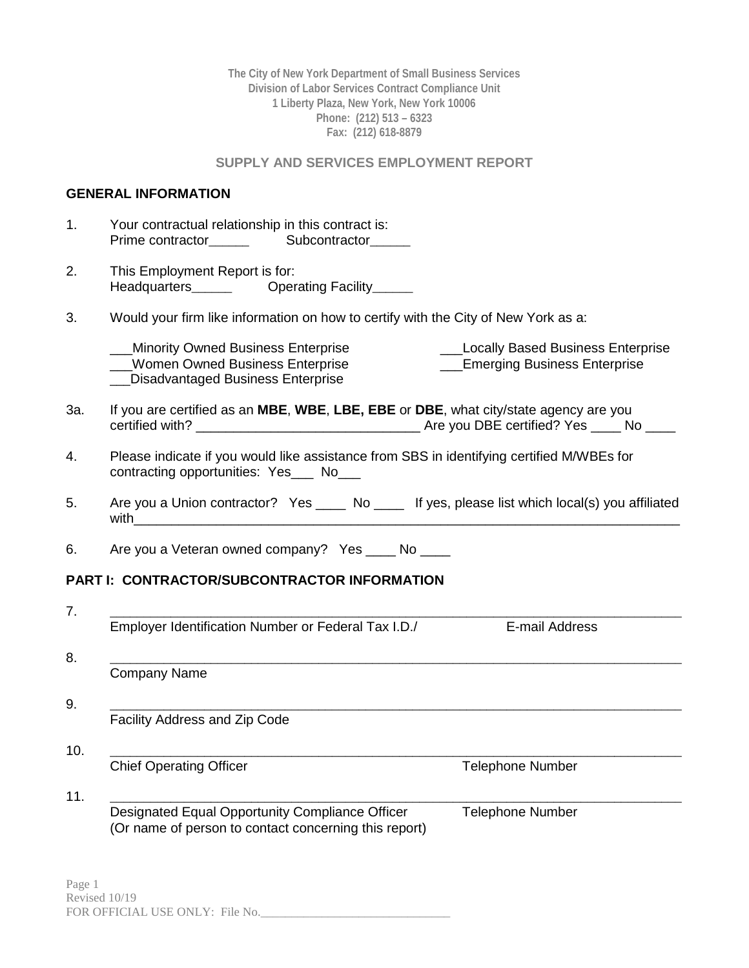**The City of New York Department of Small Business Services Division of Labor Services Contract Compliance Unit 1 Liberty Plaza, New York, New York 10006 Phone: (212) 513 – 6323 Fax: (212) 618-8879**

### **SUPPLY AND SERVICES EMPLOYMENT REPORT**

## **GENERAL INFORMATION**

| 1.  | Your contractual relationship in this contract is:                                                                                   |                                                                             |
|-----|--------------------------------------------------------------------------------------------------------------------------------------|-----------------------------------------------------------------------------|
| 2.  | This Employment Report is for:                                                                                                       |                                                                             |
| 3.  | Would your firm like information on how to certify with the City of New York as a:                                                   |                                                                             |
|     | _Minority Owned Business Enterprise<br>Women Owned Business Enterprise<br>Disadvantaged Business Enterprise                          | ___Locally Based Business Enterprise<br><b>Emerging Business Enterprise</b> |
| 3a. | If you are certified as an MBE, WBE, LBE, EBE or DBE, what city/state agency are you                                                 |                                                                             |
| 4.  | Please indicate if you would like assistance from SBS in identifying certified M/WBEs for<br>contracting opportunities: Yes___ No___ |                                                                             |
| 5.  | Are you a Union contractor? Yes _____ No _____ If yes, please list which local(s) you affiliated<br>with                             |                                                                             |
| 6.  | Are you a Veteran owned company? Yes _____ No _____                                                                                  |                                                                             |
|     | <b>PART I: CONTRACTOR/SUBCONTRACTOR INFORMATION</b>                                                                                  |                                                                             |
| 7.  |                                                                                                                                      |                                                                             |
|     | Employer Identification Number or Federal Tax I.D./                                                                                  | E-mail Address                                                              |
| 8.  |                                                                                                                                      |                                                                             |
|     | Company Name                                                                                                                         |                                                                             |
| 9.  |                                                                                                                                      |                                                                             |
|     | Facility Address and Zip Code                                                                                                        |                                                                             |
| 10. |                                                                                                                                      |                                                                             |
|     | <b>Chief Operating Officer</b>                                                                                                       | <b>Telephone Number</b>                                                     |
| 11. | Designated Equal Opportunity Compliance Officer<br>(Or name of person to contact concerning this report)                             | <b>Telephone Number</b>                                                     |
|     |                                                                                                                                      |                                                                             |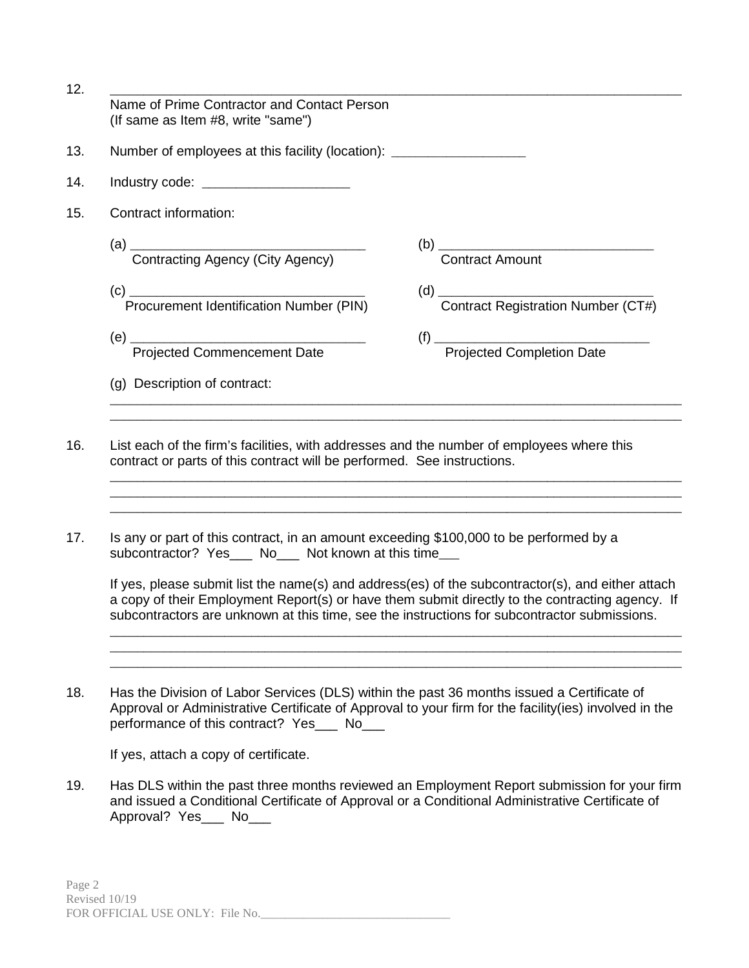| 12. | Name of Prime Contractor and Contact Person<br>(If same as Item #8, write "same") |                                                                                                                                                                                                                                                                                                                                                                                                  |
|-----|-----------------------------------------------------------------------------------|--------------------------------------------------------------------------------------------------------------------------------------------------------------------------------------------------------------------------------------------------------------------------------------------------------------------------------------------------------------------------------------------------|
| 13. | Number of employees at this facility (location): _______________________________  |                                                                                                                                                                                                                                                                                                                                                                                                  |
| 14. | Industry code: ________________________                                           |                                                                                                                                                                                                                                                                                                                                                                                                  |
| 15. | Contract information:                                                             |                                                                                                                                                                                                                                                                                                                                                                                                  |
|     |                                                                                   | <b>Contract Amount</b>                                                                                                                                                                                                                                                                                                                                                                           |
|     | Procurement Identification Number (PIN)                                           | $\begin{picture}(180,10) \put(0,0){\line(1,0){100}} \put(0,0){\line(1,0){100}} \put(0,0){\line(1,0){100}} \put(0,0){\line(1,0){100}} \put(0,0){\line(1,0){100}} \put(0,0){\line(1,0){100}} \put(0,0){\line(1,0){100}} \put(0,0){\line(1,0){100}} \put(0,0){\line(1,0){100}} \put(0,0){\line(1,0){100}} \put(0,0){\line(1,0){100}} \put(0,0){\line($<br><b>Contract Registration Number (CT#)</b> |
|     | <b>Projected Commencement Date</b>                                                |                                                                                                                                                                                                                                                                                                                                                                                                  |
|     | (g) Description of contract:                                                      |                                                                                                                                                                                                                                                                                                                                                                                                  |

- 16. List each of the firm's facilities, with addresses and the number of employees where this contract or parts of this contract will be performed. See instructions.
- 17. Is any or part of this contract, in an amount exceeding \$100,000 to be performed by a subcontractor? Yes No Not known at this time

If yes, please submit list the name(s) and address(es) of the subcontractor(s), and either attach a copy of their Employment Report(s) or have them submit directly to the contracting agency. If subcontractors are unknown at this time, see the instructions for subcontractor submissions.

\_\_\_\_\_\_\_\_\_\_\_\_\_\_\_\_\_\_\_\_\_\_\_\_\_\_\_\_\_\_\_\_\_\_\_\_\_\_\_\_\_\_\_\_\_\_\_\_\_\_\_\_\_\_\_\_\_\_\_\_\_\_\_\_\_\_\_\_\_\_\_\_\_\_\_\_\_\_\_\_\_\_\_\_\_ \_\_\_\_\_\_\_\_\_\_\_\_\_\_\_\_\_\_\_\_\_\_\_\_\_\_\_\_\_\_\_\_\_\_\_\_\_\_\_\_\_\_\_\_\_\_\_\_\_\_\_\_\_\_\_\_\_\_\_\_\_\_\_\_\_\_\_\_\_\_\_\_\_\_\_\_\_\_\_\_\_\_\_\_\_ \_\_\_\_\_\_\_\_\_\_\_\_\_\_\_\_\_\_\_\_\_\_\_\_\_\_\_\_\_\_\_\_\_\_\_\_\_\_\_\_\_\_\_\_\_\_\_\_\_\_\_\_\_\_\_\_\_\_\_\_\_\_\_\_\_\_\_\_\_\_\_\_\_\_\_\_\_\_\_\_\_\_\_\_\_

\_\_\_\_\_\_\_\_\_\_\_\_\_\_\_\_\_\_\_\_\_\_\_\_\_\_\_\_\_\_\_\_\_\_\_\_\_\_\_\_\_\_\_\_\_\_\_\_\_\_\_\_\_\_\_\_\_\_\_\_\_\_\_\_\_\_\_\_\_\_\_\_\_\_\_\_\_\_\_\_\_\_\_\_\_ \_\_\_\_\_\_\_\_\_\_\_\_\_\_\_\_\_\_\_\_\_\_\_\_\_\_\_\_\_\_\_\_\_\_\_\_\_\_\_\_\_\_\_\_\_\_\_\_\_\_\_\_\_\_\_\_\_\_\_\_\_\_\_\_\_\_\_\_\_\_\_\_\_\_\_\_\_\_\_\_\_\_\_\_\_ \_\_\_\_\_\_\_\_\_\_\_\_\_\_\_\_\_\_\_\_\_\_\_\_\_\_\_\_\_\_\_\_\_\_\_\_\_\_\_\_\_\_\_\_\_\_\_\_\_\_\_\_\_\_\_\_\_\_\_\_\_\_\_\_\_\_\_\_\_\_\_\_\_\_\_\_\_\_\_\_\_\_\_\_\_

18. Has the Division of Labor Services (DLS) within the past 36 months issued a Certificate of Approval or Administrative Certificate of Approval to your firm for the facility(ies) involved in the performance of this contract? Yes \_\_\_ No\_\_\_

If yes, attach a copy of certificate.

19. Has DLS within the past three months reviewed an Employment Report submission for your firm and issued a Conditional Certificate of Approval or a Conditional Administrative Certificate of Approval? Yes\_\_\_ No\_\_\_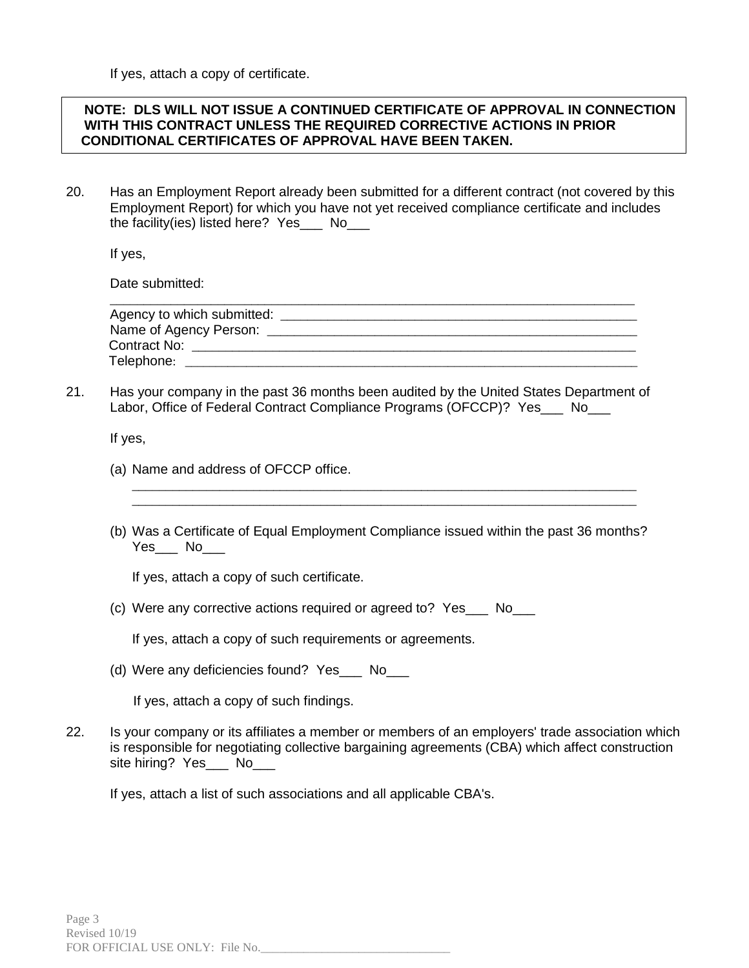If yes, attach a copy of certificate.

### **NOTE: DLS WILL NOT ISSUE A CONTINUED CERTIFICATE OF APPROVAL IN CONNECTION WITH THIS CONTRACT UNLESS THE REQUIRED CORRECTIVE ACTIONS IN PRIOR CONDITIONAL CERTIFICATES OF APPROVAL HAVE BEEN TAKEN.**

20. Has an Employment Report already been submitted for a different contract (not covered by this Employment Report) for which you have not yet received compliance certificate and includes the facility(ies) listed here? Yes\_\_\_ No\_\_\_

If yes,

Date submitted:

| Agency to which submitted: |  |
|----------------------------|--|
| Name of Agency Person:     |  |
| Contract No:               |  |
| Telephone:                 |  |

21. Has your company in the past 36 months been audited by the United States Department of Labor, Office of Federal Contract Compliance Programs (OFCCP)? Yes\_\_\_ No\_\_\_

If yes,

- (a) Name and address of OFCCP office.
- (b) Was a Certificate of Equal Employment Compliance issued within the past 36 months? Yes\_\_\_ No

\_\_\_\_\_\_\_\_\_\_\_\_\_\_\_\_\_\_\_\_\_\_\_\_\_\_\_\_\_\_\_\_\_\_\_\_\_\_\_\_\_\_\_\_\_\_\_\_\_\_\_\_\_\_\_\_\_\_\_\_\_\_\_\_\_\_\_\_\_\_\_\_\_\_\_ \_\_\_\_\_\_\_\_\_\_\_\_\_\_\_\_\_\_\_\_\_\_\_\_\_\_\_\_\_\_\_\_\_\_\_\_\_\_\_\_\_\_\_\_\_\_\_\_\_\_\_\_\_\_\_\_\_\_\_\_\_\_\_\_\_\_\_\_\_\_\_\_\_\_\_

If yes, attach a copy of such certificate.

(c) Were any corrective actions required or agreed to? Yes\_\_\_ No\_\_\_

If yes, attach a copy of such requirements or agreements.

(d) Were any deficiencies found? Yes\_\_\_ No\_\_\_

If yes, attach a copy of such findings.

22. Is your company or its affiliates a member or members of an employers' trade association which is responsible for negotiating collective bargaining agreements (CBA) which affect construction site hiring? Yes\_\_\_ No\_\_\_

If yes, attach a list of such associations and all applicable CBA's.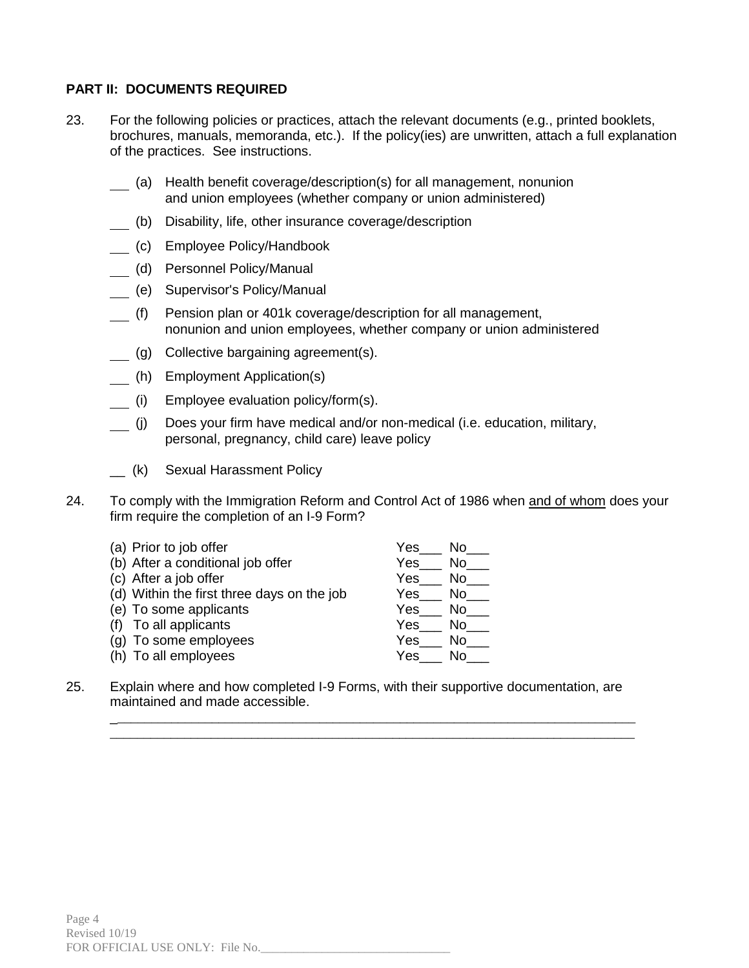### **PART II: DOCUMENTS REQUIRED**

- 23. For the following policies or practices, attach the relevant documents (e.g., printed booklets, brochures, manuals, memoranda, etc.). If the policy(ies) are unwritten, attach a full explanation of the practices. See instructions.
	- (a) Health benefit coverage/description(s) for all management, nonunion and union employees (whether company or union administered)
	- (b) Disability, life, other insurance coverage/description
	- (c) Employee Policy/Handbook
	- (d) Personnel Policy/Manual
	- (e) Supervisor's Policy/Manual
	- (f) Pension plan or 401k coverage/description for all management, nonunion and union employees, whether company or union administered
	- (g) Collective bargaining agreement(s).
	- (h) Employment Application(s)
	- (i) Employee evaluation policy/form(s).
	- (j) Does your firm have medical and/or non-medical (i.e. education, military, personal, pregnancy, child care) leave policy
	- \_\_ (k) Sexual Harassment Policy
- 24. To comply with the Immigration Reform and Control Act of 1986 when and of whom does your firm require the completion of an I-9 Form?

| (a) Prior to job offer                     | Yes<br>No.  |
|--------------------------------------------|-------------|
| (b) After a conditional job offer          | Yes<br>No.  |
| (c) After a job offer                      | Yes<br>No.  |
| (d) Within the first three days on the job | Yes.<br>No. |
| (e) To some applicants                     | Yes<br>No l |
| (f) To all applicants                      | Yes<br>No.  |
| (g) To some employees                      | Yes<br>N٥   |
| (h) To all employees                       | Yes<br>N٥   |

25. Explain where and how completed I-9 Forms, with their supportive documentation, are maintained and made accessible.

\_\_\_\_\_\_\_\_\_\_\_\_\_\_\_\_\_\_\_\_\_\_\_\_\_\_\_\_\_\_\_\_\_\_\_\_\_\_\_\_\_\_\_\_\_\_\_\_\_\_\_\_\_\_\_\_\_\_\_\_\_\_\_\_\_\_\_\_\_\_\_\_\_\_\_\_\_\_ \_\_\_\_\_\_\_\_\_\_\_\_\_\_\_\_\_\_\_\_\_\_\_\_\_\_\_\_\_\_\_\_\_\_\_\_\_\_\_\_\_\_\_\_\_\_\_\_\_\_\_\_\_\_\_\_\_\_\_\_\_\_\_\_\_\_\_\_\_\_\_\_\_\_\_\_\_\_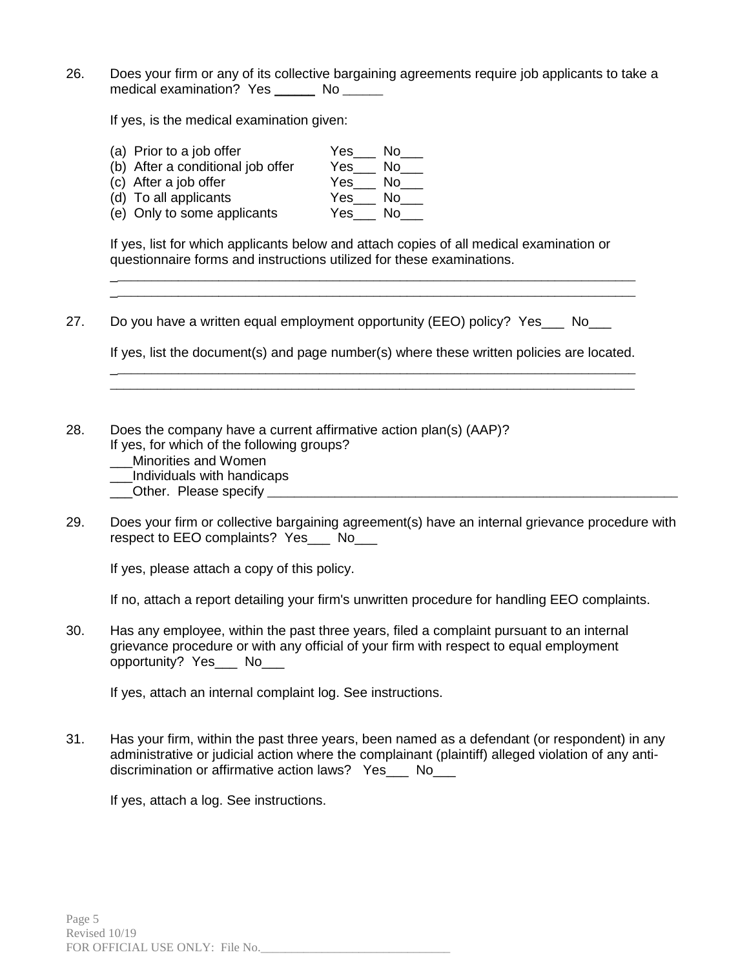26. Does your firm or any of its collective bargaining agreements require job applicants to take a medical examination? Yes \_\_\_\_\_\_ No \_\_\_\_\_

If yes, is the medical examination given:

(a) Prior to a job offer Yes\_\_\_ No\_\_\_ (b) After a conditional job offer Yes\_\_\_ No\_\_\_ (c) After a job offer Yes\_\_\_ No\_\_\_ (d) To all applicants (e) Only to some applicants Yes\_\_\_ No\_\_\_

If yes, list for which applicants below and attach copies of all medical examination or questionnaire forms and instructions utilized for these examinations.

27. Do you have a written equal employment opportunity (EEO) policy? Yes No

If yes, list the document(s) and page number(s) where these written policies are located. \_\_\_\_\_\_\_\_\_\_\_\_\_\_\_\_\_\_\_\_\_\_\_\_\_\_\_\_\_\_\_\_\_\_\_\_\_\_\_\_\_\_\_\_\_\_\_\_\_\_\_\_\_\_\_\_\_\_\_\_\_\_\_\_\_\_\_\_\_\_\_\_\_\_\_\_\_\_

\_\_\_\_\_\_\_\_\_\_\_\_\_\_\_\_\_\_\_\_\_\_\_\_\_\_\_\_\_\_\_\_\_\_\_\_\_\_\_\_\_\_\_\_\_\_\_\_\_\_\_\_\_\_\_\_\_\_\_\_\_\_\_\_\_\_\_\_\_\_\_\_\_\_\_\_\_\_

\_\_\_\_\_\_\_\_\_\_\_\_\_\_\_\_\_\_\_\_\_\_\_\_\_\_\_\_\_\_\_\_\_\_\_\_\_\_\_\_\_\_\_\_\_\_\_\_\_\_\_\_\_\_\_\_\_\_\_\_\_\_\_\_\_\_\_\_\_\_\_\_\_\_\_\_\_\_ \_\_\_\_\_\_\_\_\_\_\_\_\_\_\_\_\_\_\_\_\_\_\_\_\_\_\_\_\_\_\_\_\_\_\_\_\_\_\_\_\_\_\_\_\_\_\_\_\_\_\_\_\_\_\_\_\_\_\_\_\_\_\_\_\_\_\_\_\_\_\_\_\_\_\_\_\_\_

28. Does the company have a current affirmative action plan(s) (AAP)? If yes, for which of the following groups?

\_\_\_Minorities and Women

\_\_\_Individuals with handicaps

\_\_\_Other. Please specify \_\_\_\_\_\_\_\_\_\_\_\_\_\_\_\_\_\_\_\_\_\_\_\_\_\_\_\_\_\_\_\_\_\_\_\_\_\_\_\_\_\_\_\_\_\_\_\_\_\_\_\_\_\_\_\_\_\_\_\_\_

29. Does your firm or collective bargaining agreement(s) have an internal grievance procedure with respect to EEO complaints? Yes\_\_\_ No\_\_\_

If yes, please attach a copy of this policy.

If no, attach a report detailing your firm's unwritten procedure for handling EEO complaints.

30. Has any employee, within the past three years, filed a complaint pursuant to an internal grievance procedure or with any official of your firm with respect to equal employment opportunity? Yes\_\_\_ No\_\_\_

If yes, attach an internal complaint log. See instructions.

31. Has your firm, within the past three years, been named as a defendant (or respondent) in any administrative or judicial action where the complainant (plaintiff) alleged violation of any antidiscrimination or affirmative action laws? Yes No

If yes, attach a log. See instructions.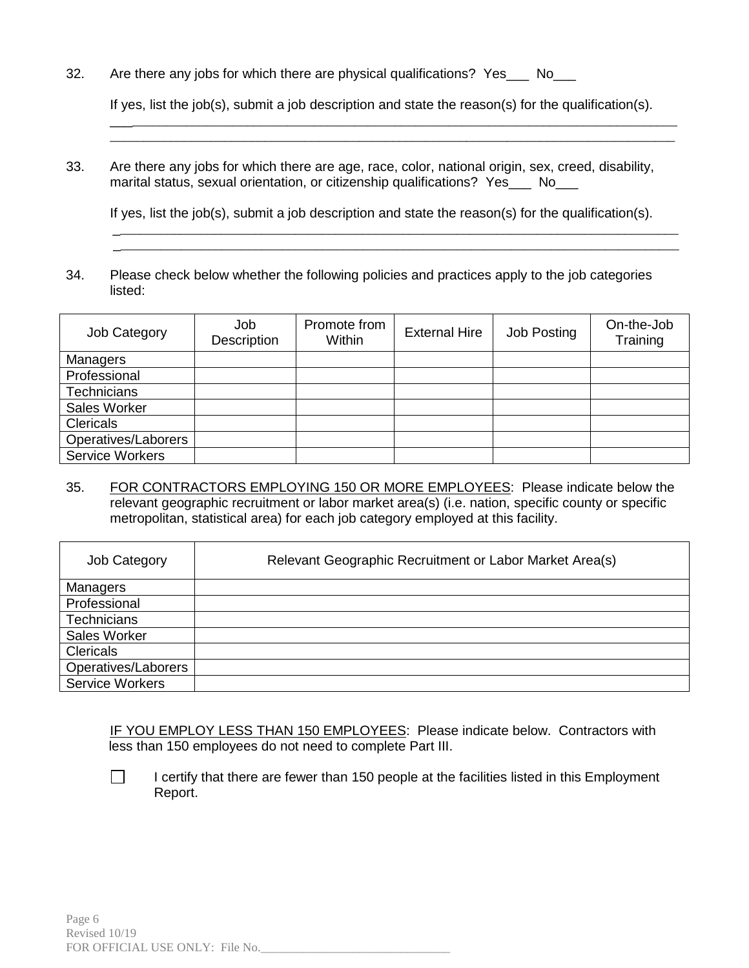32. Are there any jobs for which there are physical qualifications? Yes No

If yes, list the job(s), submit a job description and state the reason(s) for the qualification(s).

\_\_\_\_\_\_\_\_\_\_\_\_\_\_\_\_\_\_\_\_\_\_\_\_\_\_\_\_\_\_\_\_\_\_\_\_\_\_\_\_\_\_\_\_\_\_\_\_\_\_\_\_\_\_\_\_\_\_\_\_\_\_\_\_\_\_\_\_\_\_\_\_\_\_\_\_\_\_\_\_\_\_\_\_ \_\_\_\_\_\_\_\_\_\_\_\_\_\_\_\_\_\_\_\_\_\_\_\_\_\_\_\_\_\_\_\_\_\_\_\_\_\_\_\_\_\_\_\_\_\_\_\_\_\_\_\_\_\_\_\_\_\_\_\_\_\_\_\_\_\_\_\_\_\_\_\_\_\_\_\_\_\_\_\_\_\_\_\_

33. Are there any jobs for which there are age, race, color, national origin, sex, creed, disability, marital status, sexual orientation, or citizenship qualifications? Yes No

If yes, list the job(s), submit a job description and state the reason(s) for the qualification(s).

\_\_\_\_\_\_\_\_\_\_\_\_\_\_\_\_\_\_\_\_\_\_\_\_\_\_\_\_\_\_\_\_\_\_\_\_\_\_\_\_\_\_\_\_\_\_\_\_\_\_\_\_\_\_\_\_\_\_\_\_\_\_\_\_\_\_\_\_\_\_\_\_\_\_\_\_\_\_\_\_\_\_\_\_

34. Please check below whether the following policies and practices apply to the job categories listed:

| Job Category        | Job<br>Description | Promote from<br>Within | <b>External Hire</b> | Job Posting | On-the-Job<br>Training |
|---------------------|--------------------|------------------------|----------------------|-------------|------------------------|
| Managers            |                    |                        |                      |             |                        |
| Professional        |                    |                        |                      |             |                        |
| <b>Technicians</b>  |                    |                        |                      |             |                        |
| Sales Worker        |                    |                        |                      |             |                        |
| <b>Clericals</b>    |                    |                        |                      |             |                        |
| Operatives/Laborers |                    |                        |                      |             |                        |
| Service Workers     |                    |                        |                      |             |                        |

35. FOR CONTRACTORS EMPLOYING 150 OR MORE EMPLOYEES: Please indicate below the relevant geographic recruitment or labor market area(s) (i.e. nation, specific county or specific metropolitan, statistical area) for each job category employed at this facility.

| Job Category           | Relevant Geographic Recruitment or Labor Market Area(s) |
|------------------------|---------------------------------------------------------|
| Managers               |                                                         |
| Professional           |                                                         |
| Technicians            |                                                         |
| Sales Worker           |                                                         |
| Clericals              |                                                         |
| Operatives/Laborers    |                                                         |
| <b>Service Workers</b> |                                                         |

IF YOU EMPLOY LESS THAN 150 EMPLOYEES: Please indicate below. Contractors with less than 150 employees do not need to complete Part III.

 $\Box$ 

I certify that there are fewer than 150 people at the facilities listed in this Employment Report.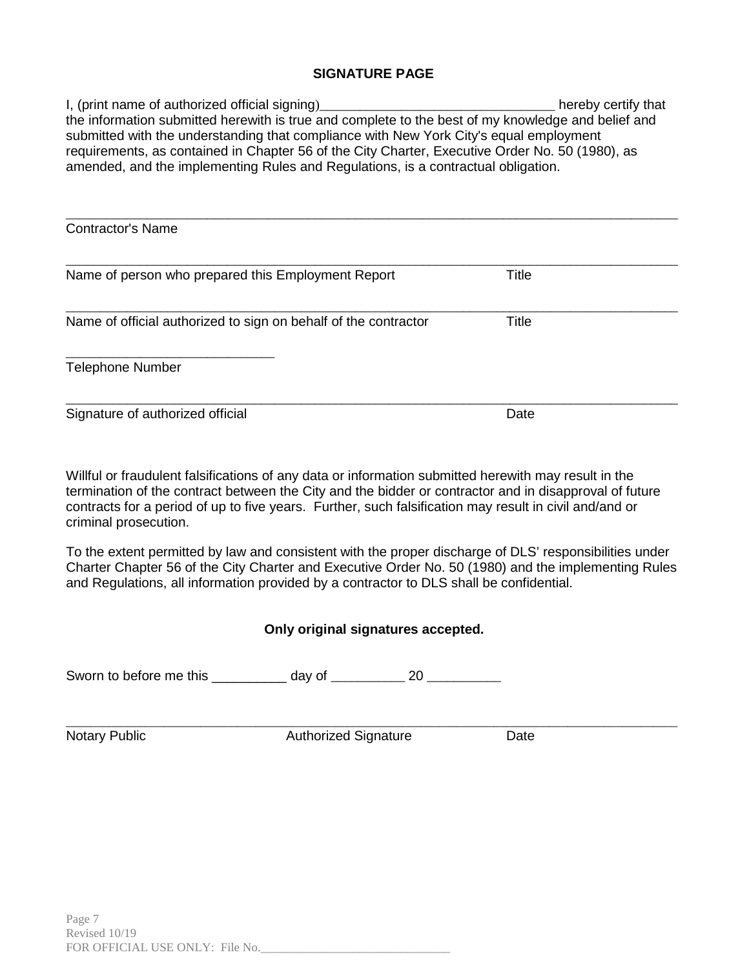## **SIGNATURE PAGE**

I, (print name of authorized official signing)\_\_\_\_\_\_\_\_\_\_\_\_\_\_\_\_\_\_\_\_\_\_\_\_\_\_\_\_\_\_\_\_\_\_\_ hereby certify that the information submitted herewith is true and complete to the best of my knowledge and belief and submitted with the understanding that compliance with New York City's equal employment requirements, as contained in Chapter 56 of the City Charter, Executive Order No. 50 (1980), as amended, and the implementing Rules and Regulations, is a contractual obligation.

| <b>Contractor's Name</b>                                        |              |  |
|-----------------------------------------------------------------|--------------|--|
| Name of person who prepared this Employment Report              | <b>Title</b> |  |
| Name of official authorized to sign on behalf of the contractor | Title        |  |
| <b>Telephone Number</b>                                         |              |  |
| Signature of authorized official                                | Date         |  |

Willful or fraudulent falsifications of any data or information submitted herewith may result in the termination of the contract between the City and the bidder or contractor and in disapproval of future contracts for a period of up to five years. Further, such falsification may result in civil and/and or criminal prosecution.

To the extent permitted by law and consistent with the proper discharge of DLS' responsibilities under Charter Chapter 56 of the City Charter and Executive Order No. 50 (1980) and the implementing Rules and Regulations, all information provided by a contractor to DLS shall be confidential.

# **Only original signatures accepted.**

Sworn to before me this \_\_\_\_\_\_\_\_\_\_ day of \_\_\_\_\_\_\_\_\_\_ 20 \_\_\_\_\_\_\_\_\_\_

\_\_\_\_\_\_\_\_\_\_\_\_\_\_\_\_\_\_\_\_\_\_\_\_\_\_\_\_\_\_\_\_\_\_\_\_\_\_\_\_\_\_\_\_\_\_\_\_\_\_\_\_\_\_\_\_\_\_\_\_\_\_\_\_\_\_\_\_\_\_\_\_\_\_\_\_\_\_\_\_\_\_\_\_\_\_\_\_\_\_\_\_\_\_\_\_\_\_\_\_ Notary Public **Notary Public Authorized Signature** Date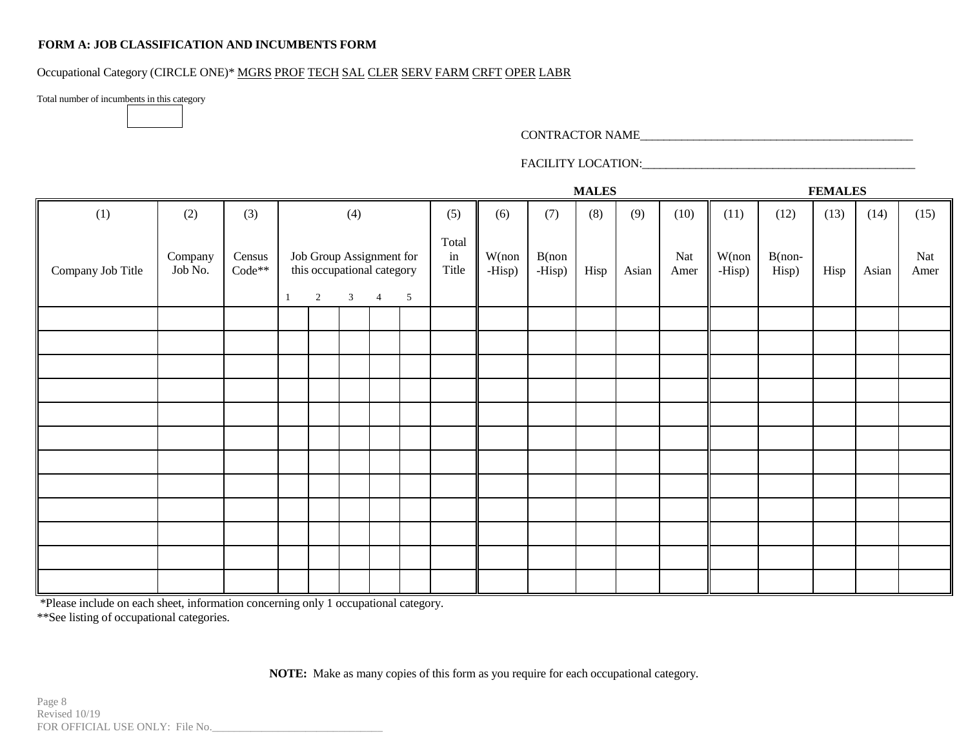### **FORM A: JOB CLASSIFICATION AND INCUMBENTS FORM**

### Occupational Category (CIRCLE ONE)\* MGRS PROF TECH SAL CLER SERV FARM CRFT OPER LABR

Total number of incumbents in this category

#### CONTRACTOR NAME\_\_\_\_\_\_\_\_\_\_\_\_\_\_\_\_\_\_\_\_\_\_\_\_\_\_\_\_\_\_\_\_\_\_\_\_\_\_\_\_\_\_\_\_\_\_

## FACILITY LOCATION:\_\_\_\_\_\_\_\_\_\_\_\_\_\_\_\_\_\_\_\_\_\_\_\_\_\_\_\_\_\_\_\_\_\_\_\_\_\_\_\_\_\_\_\_\_\_

|                   |                    |                    |              |                                                                          |                |                |                |                      |                 |                    | <b>MALES</b> |       |             |                 |                    | <b>FEMALES</b> |       |             |
|-------------------|--------------------|--------------------|--------------|--------------------------------------------------------------------------|----------------|----------------|----------------|----------------------|-----------------|--------------------|--------------|-------|-------------|-----------------|--------------------|----------------|-------|-------------|
| (1)               | (2)                | (3)                |              |                                                                          | (4)            |                |                | (5)                  | (6)             | (7)                | (8)          | (9)   | (10)        | (11)            | (12)               | (13)           | (14)  | (15)        |
| Company Job Title | Company<br>Job No. | Census<br>$Code**$ | $\mathbf{1}$ | Job Group Assignment for<br>this occupational category<br>$\overline{2}$ | $\mathfrak{Z}$ | $\overline{4}$ | $\overline{5}$ | Total<br>in<br>Title | W(non<br>-Hisp) | $B($ non<br>-Hisp) | Hisp         | Asian | Nat<br>Amer | W(non<br>-Hisp) | $B($ non-<br>Hisp) | Hisp           | Asian | Nat<br>Amer |
|                   |                    |                    |              |                                                                          |                |                |                |                      |                 |                    |              |       |             |                 |                    |                |       |             |
|                   |                    |                    |              |                                                                          |                |                |                |                      |                 |                    |              |       |             |                 |                    |                |       |             |
|                   |                    |                    |              |                                                                          |                |                |                |                      |                 |                    |              |       |             |                 |                    |                |       |             |
|                   |                    |                    |              |                                                                          |                |                |                |                      |                 |                    |              |       |             |                 |                    |                |       |             |
|                   |                    |                    |              |                                                                          |                |                |                |                      |                 |                    |              |       |             |                 |                    |                |       |             |
|                   |                    |                    |              |                                                                          |                |                |                |                      |                 |                    |              |       |             |                 |                    |                |       |             |
|                   |                    |                    |              |                                                                          |                |                |                |                      |                 |                    |              |       |             |                 |                    |                |       |             |
|                   |                    |                    |              |                                                                          |                |                |                |                      |                 |                    |              |       |             |                 |                    |                |       |             |
|                   |                    |                    |              |                                                                          |                |                |                |                      |                 |                    |              |       |             |                 |                    |                |       |             |
|                   |                    |                    |              |                                                                          |                |                |                |                      |                 |                    |              |       |             |                 |                    |                |       |             |
|                   |                    |                    |              |                                                                          |                |                |                |                      |                 |                    |              |       |             |                 |                    |                |       |             |
|                   |                    |                    |              |                                                                          |                |                |                |                      |                 |                    |              |       |             |                 |                    |                |       |             |

\*Please include on each sheet, information concerning only 1 occupational category. \*\*See listing of occupational categories.

**NOTE:** Make as many copies of this form as you require for each occupational category.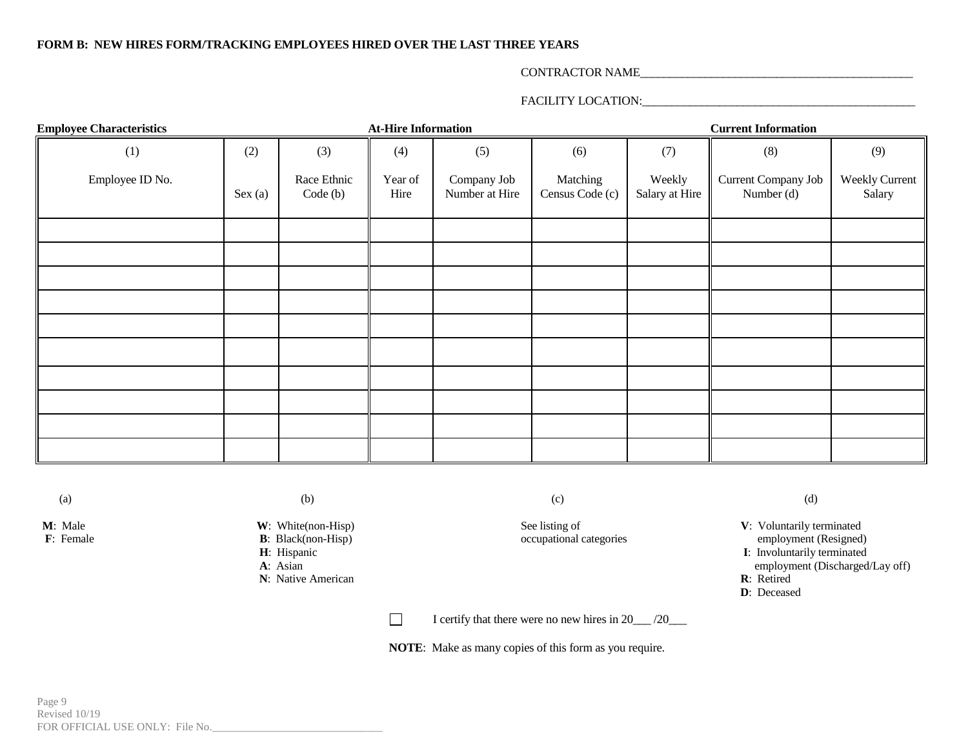#### **FORM B: NEW HIRES FORM/TRACKING EMPLOYEES HIRED OVER THE LAST THREE YEARS**

#### CONTRACTOR NAME\_\_\_\_\_\_\_\_\_\_\_\_\_\_\_\_\_\_\_\_\_\_\_\_\_\_\_\_\_\_\_\_\_\_\_\_\_\_\_\_\_\_\_\_\_\_

### FACILITY LOCATION:\_\_\_\_\_\_\_\_\_\_\_\_\_\_\_\_\_\_\_\_\_\_\_\_\_\_\_\_\_\_\_\_\_\_\_\_\_\_\_\_\_\_\_\_\_\_

| <b>Employee Characteristics</b> |            |                        | <b>At-Hire Information</b>                       |     | <b>Current Information</b>                              |     |                                   |                                 |
|---------------------------------|------------|------------------------|--------------------------------------------------|-----|---------------------------------------------------------|-----|-----------------------------------|---------------------------------|
| (1)                             | (2)<br>(3) |                        | (4)                                              | (5) | (6)                                                     | (7) | (8)                               | (9)                             |
| Employee ID No.                 | Sex(a)     | Race Ethnic<br>Code(b) | Year of<br>Company Job<br>Number at Hire<br>Hire |     | Matching<br>Weekly<br>Census Code (c)<br>Salary at Hire |     | Current Company Job<br>Number (d) | <b>Weekly Current</b><br>Salary |
|                                 |            |                        |                                                  |     |                                                         |     |                                   |                                 |
|                                 |            |                        |                                                  |     |                                                         |     |                                   |                                 |
|                                 |            |                        |                                                  |     |                                                         |     |                                   |                                 |
|                                 |            |                        |                                                  |     |                                                         |     |                                   |                                 |
|                                 |            |                        |                                                  |     |                                                         |     |                                   |                                 |
|                                 |            |                        |                                                  |     |                                                         |     |                                   |                                 |
|                                 |            |                        |                                                  |     |                                                         |     |                                   |                                 |
|                                 |            |                        |                                                  |     |                                                         |     |                                   |                                 |
|                                 |            |                        |                                                  |     |                                                         |     |                                   |                                 |
|                                 |            |                        |                                                  |     |                                                         |     |                                   |                                 |

- **F**: Female **B**: Black(non-Hisp) occupational categories expecting the employment of  $\mathbf{R}$ : Hispanic
	- -

 $\Box$ I certify that there were no new hires in 20\_\_\_ /20\_\_\_

**NOTE**: Make as many copies of this form as you require.

(a) (b) (c) (c) (c) (c)

**M**: Male **W**: White(non-Hisp) See listing of **V**: Voluntarily terminated **F**: Female **B**: Black(non-Hisp) See listing of **V**: Voluntarily terminated **F**: Female **B**: Black(non-Hisp) See listing of **V**: Voluntarily termina **H**: Hispanic **I**: Involuntarily terminated **A**: Asian employment (Discharged/Lay off)<br>R: Retired **N**: Native American **R**: Retired **D**: Deceased **D**: Deceased

**D**: Deceased

Page 9 Revised 10/19 FOR OFFICIAL USE ONLY: File No.